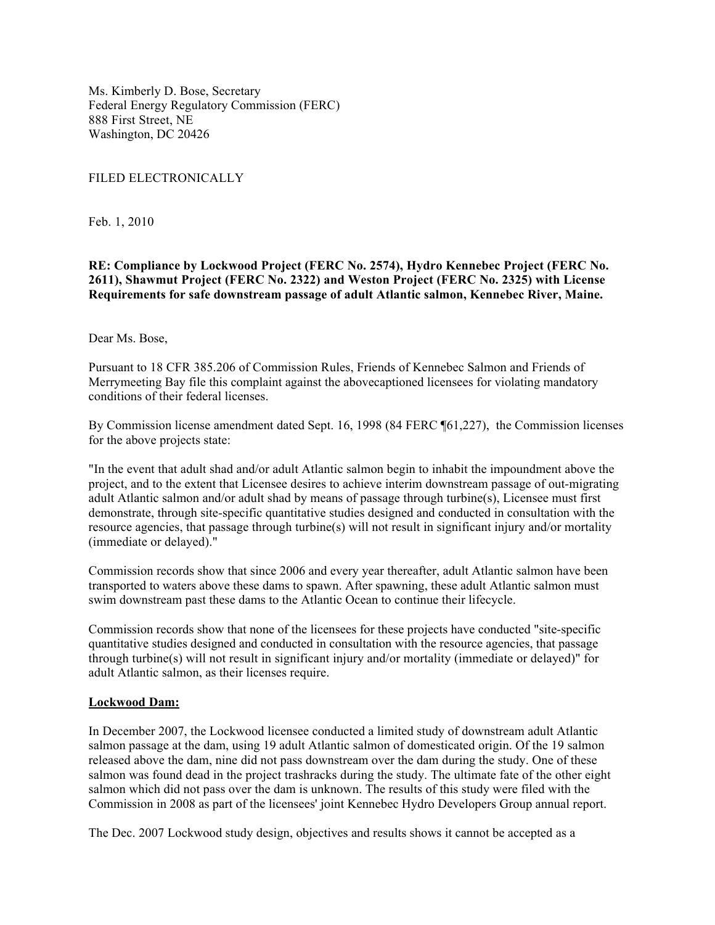Ms. Kimberly D. Bose, Secretary Federal Energy Regulatory Commission (FERC) 888 First Street, NE Washington, DC 20426

#### FILED ELECTRONICALLY

Feb. 1, 2010

## **RE: Compliance by Lockwood Project (FERC No. 2574), Hydro Kennebec Project (FERC No. 2611), Shawmut Project (FERC No. 2322) and Weston Project (FERC No. 2325) with License Requirements for safe downstream passage of adult Atlantic salmon, Kennebec River, Maine.**

#### Dear Ms. Bose,

Pursuant to 18 CFR 385.206 of Commission Rules, Friends of Kennebec Salmon and Friends of Merrymeeting Bay file this complaint against the abovecaptioned licensees for violating mandatory conditions of their federal licenses.

By Commission license amendment dated Sept. 16, 1998 (84 FERC ¶61,227), the Commission licenses for the above projects state:

"In the event that adult shad and/or adult Atlantic salmon begin to inhabit the impoundment above the project, and to the extent that Licensee desires to achieve interim downstream passage of out-migrating adult Atlantic salmon and/or adult shad by means of passage through turbine(s), Licensee must first demonstrate, through site-specific quantitative studies designed and conducted in consultation with the resource agencies, that passage through turbine(s) will not result in significant injury and/or mortality (immediate or delayed)."

Commission records show that since 2006 and every year thereafter, adult Atlantic salmon have been transported to waters above these dams to spawn. After spawning, these adult Atlantic salmon must swim downstream past these dams to the Atlantic Ocean to continue their lifecycle.

Commission records show that none of the licensees for these projects have conducted "site-specific quantitative studies designed and conducted in consultation with the resource agencies, that passage through turbine(s) will not result in significant injury and/or mortality (immediate or delayed)" for adult Atlantic salmon, as their licenses require.

#### **Lockwood Dam:**

In December 2007, the Lockwood licensee conducted a limited study of downstream adult Atlantic salmon passage at the dam, using 19 adult Atlantic salmon of domesticated origin. Of the 19 salmon released above the dam, nine did not pass downstream over the dam during the study. One of these salmon was found dead in the project trashracks during the study. The ultimate fate of the other eight salmon which did not pass over the dam is unknown. The results of this study were filed with the Commission in 2008 as part of the licensees' joint Kennebec Hydro Developers Group annual report.

The Dec. 2007 Lockwood study design, objectives and results shows it cannot be accepted as a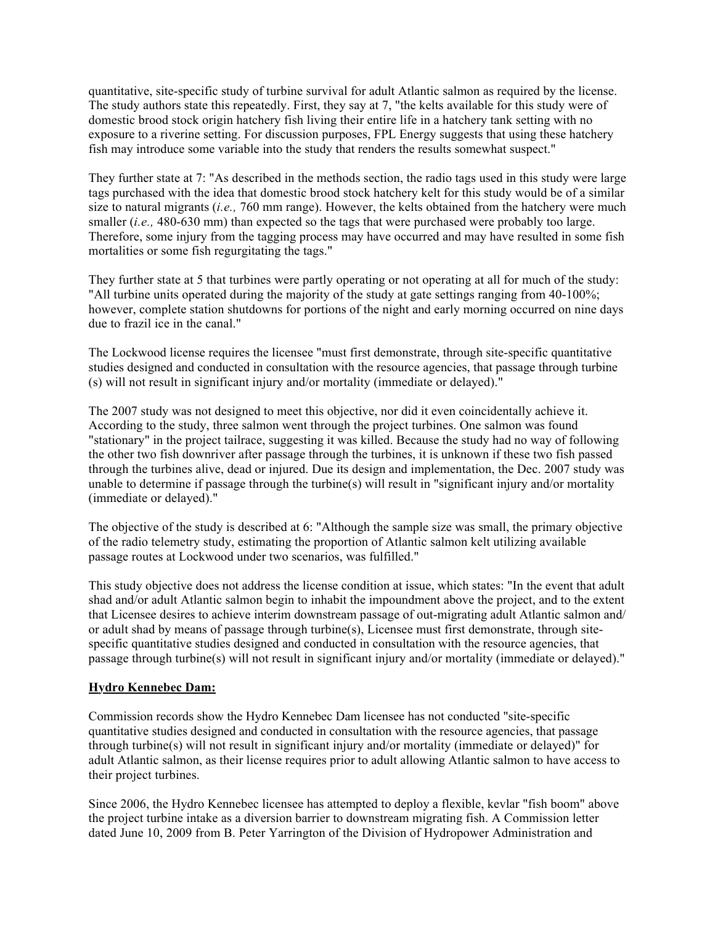quantitative, site-specific study of turbine survival for adult Atlantic salmon as required by the license. The study authors state this repeatedly. First, they say at 7, "the kelts available for this study were of domestic brood stock origin hatchery fish living their entire life in a hatchery tank setting with no exposure to a riverine setting. For discussion purposes, FPL Energy suggests that using these hatchery fish may introduce some variable into the study that renders the results somewhat suspect."

They further state at 7: "As described in the methods section, the radio tags used in this study were large tags purchased with the idea that domestic brood stock hatchery kelt for this study would be of a similar size to natural migrants (*i.e.,* 760 mm range). However, the kelts obtained from the hatchery were much smaller (*i.e.*, 480-630 mm) than expected so the tags that were purchased were probably too large. Therefore, some injury from the tagging process may have occurred and may have resulted in some fish mortalities or some fish regurgitating the tags."

They further state at 5 that turbines were partly operating or not operating at all for much of the study: "All turbine units operated during the majority of the study at gate settings ranging from 40-100%; however, complete station shutdowns for portions of the night and early morning occurred on nine days due to frazil ice in the canal."

The Lockwood license requires the licensee "must first demonstrate, through site-specific quantitative studies designed and conducted in consultation with the resource agencies, that passage through turbine (s) will not result in significant injury and/or mortality (immediate or delayed)."

The 2007 study was not designed to meet this objective, nor did it even coincidentally achieve it. According to the study, three salmon went through the project turbines. One salmon was found "stationary" in the project tailrace, suggesting it was killed. Because the study had no way of following the other two fish downriver after passage through the turbines, it is unknown if these two fish passed through the turbines alive, dead or injured. Due its design and implementation, the Dec. 2007 study was unable to determine if passage through the turbine(s) will result in "significant injury and/or mortality (immediate or delayed)."

The objective of the study is described at 6: "Although the sample size was small, the primary objective of the radio telemetry study, estimating the proportion of Atlantic salmon kelt utilizing available passage routes at Lockwood under two scenarios, was fulfilled."

This study objective does not address the license condition at issue, which states: "In the event that adult shad and/or adult Atlantic salmon begin to inhabit the impoundment above the project, and to the extent that Licensee desires to achieve interim downstream passage of out-migrating adult Atlantic salmon and/ or adult shad by means of passage through turbine(s), Licensee must first demonstrate, through sitespecific quantitative studies designed and conducted in consultation with the resource agencies, that passage through turbine(s) will not result in significant injury and/or mortality (immediate or delayed)."

# **Hydro Kennebec Dam:**

Commission records show the Hydro Kennebec Dam licensee has not conducted "site-specific quantitative studies designed and conducted in consultation with the resource agencies, that passage through turbine(s) will not result in significant injury and/or mortality (immediate or delayed)" for adult Atlantic salmon, as their license requires prior to adult allowing Atlantic salmon to have access to their project turbines.

Since 2006, the Hydro Kennebec licensee has attempted to deploy a flexible, kevlar "fish boom" above the project turbine intake as a diversion barrier to downstream migrating fish. A Commission letter dated June 10, 2009 from B. Peter Yarrington of the Division of Hydropower Administration and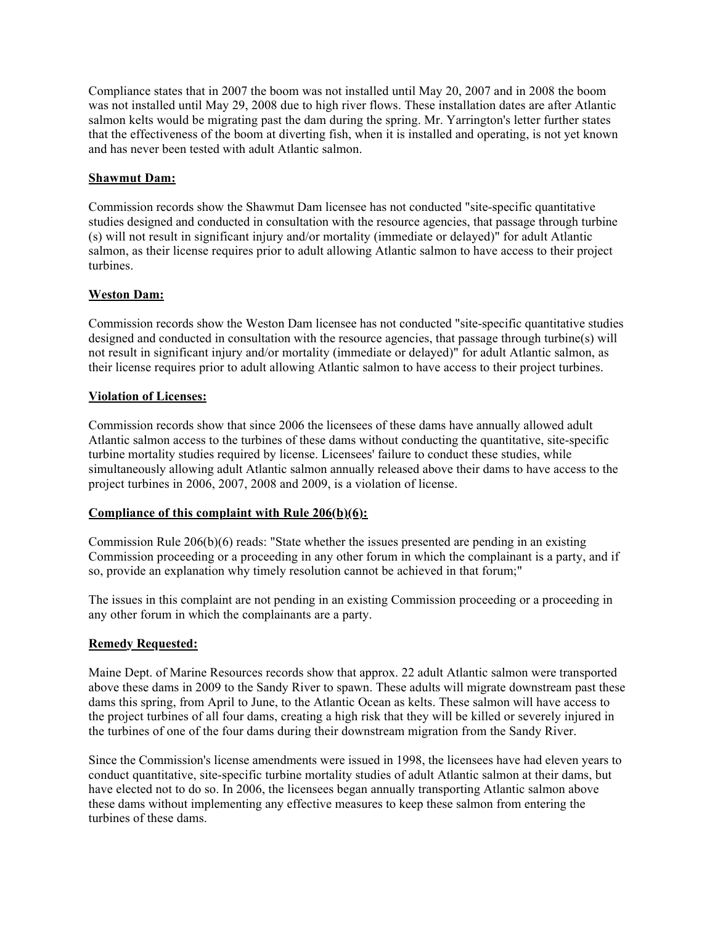Compliance states that in 2007 the boom was not installed until May 20, 2007 and in 2008 the boom was not installed until May 29, 2008 due to high river flows. These installation dates are after Atlantic salmon kelts would be migrating past the dam during the spring. Mr. Yarrington's letter further states that the effectiveness of the boom at diverting fish, when it is installed and operating, is not yet known and has never been tested with adult Atlantic salmon.

# **Shawmut Dam:**

Commission records show the Shawmut Dam licensee has not conducted "site-specific quantitative studies designed and conducted in consultation with the resource agencies, that passage through turbine (s) will not result in significant injury and/or mortality (immediate or delayed)" for adult Atlantic salmon, as their license requires prior to adult allowing Atlantic salmon to have access to their project turbines.

# **Weston Dam:**

Commission records show the Weston Dam licensee has not conducted "site-specific quantitative studies designed and conducted in consultation with the resource agencies, that passage through turbine(s) will not result in significant injury and/or mortality (immediate or delayed)" for adult Atlantic salmon, as their license requires prior to adult allowing Atlantic salmon to have access to their project turbines.

## **Violation of Licenses:**

Commission records show that since 2006 the licensees of these dams have annually allowed adult Atlantic salmon access to the turbines of these dams without conducting the quantitative, site-specific turbine mortality studies required by license. Licensees' failure to conduct these studies, while simultaneously allowing adult Atlantic salmon annually released above their dams to have access to the project turbines in 2006, 2007, 2008 and 2009, is a violation of license.

## **Compliance of this complaint with Rule 206(b)(6):**

Commission Rule 206(b)(6) reads: "State whether the issues presented are pending in an existing Commission proceeding or a proceeding in any other forum in which the complainant is a party, and if so, provide an explanation why timely resolution cannot be achieved in that forum;"

The issues in this complaint are not pending in an existing Commission proceeding or a proceeding in any other forum in which the complainants are a party.

## **Remedy Requested:**

Maine Dept. of Marine Resources records show that approx. 22 adult Atlantic salmon were transported above these dams in 2009 to the Sandy River to spawn. These adults will migrate downstream past these dams this spring, from April to June, to the Atlantic Ocean as kelts. These salmon will have access to the project turbines of all four dams, creating a high risk that they will be killed or severely injured in the turbines of one of the four dams during their downstream migration from the Sandy River.

Since the Commission's license amendments were issued in 1998, the licensees have had eleven years to conduct quantitative, site-specific turbine mortality studies of adult Atlantic salmon at their dams, but have elected not to do so. In 2006, the licensees began annually transporting Atlantic salmon above these dams without implementing any effective measures to keep these salmon from entering the turbines of these dams.